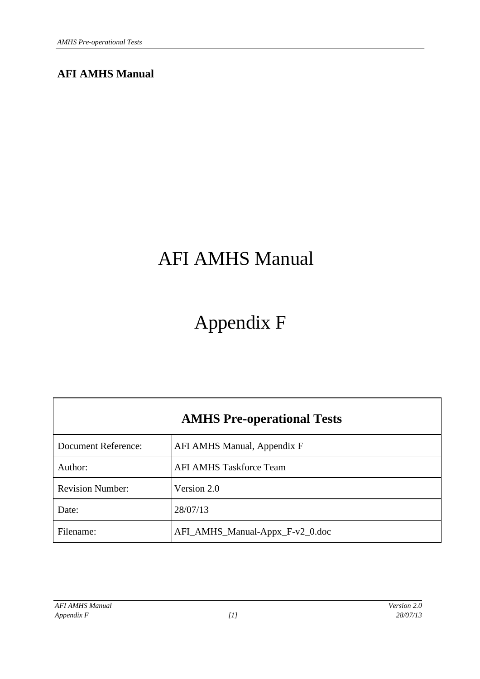## **AFI AMHS Manual**

# AFI AMHS Manual

# Appendix F

| <b>AMHS Pre-operational Tests</b> |                                 |  |
|-----------------------------------|---------------------------------|--|
| <b>Document Reference:</b>        | AFI AMHS Manual, Appendix F     |  |
| Author:                           | <b>AFI AMHS Taskforce Team</b>  |  |
| <b>Revision Number:</b>           | Version 2.0                     |  |
| Date:                             | 28/07/13                        |  |
| Filename:                         | AFI_AMHS_Manual-Appx_F-v2_0.doc |  |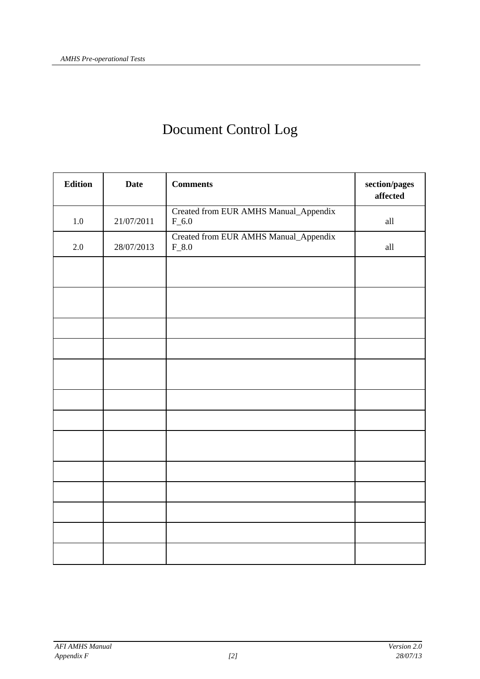## Document Control Log

| <b>Edition</b> | <b>Date</b> | <b>Comments</b>                                  | section/pages<br>affected |
|----------------|-------------|--------------------------------------------------|---------------------------|
| 1.0            | 21/07/2011  | Created from EUR AMHS Manual_Appendix<br>$F_6.0$ | all                       |
| 2.0            | 28/07/2013  | Created from EUR AMHS Manual_Appendix<br>$F_8.0$ | all                       |
|                |             |                                                  |                           |
|                |             |                                                  |                           |
|                |             |                                                  |                           |
|                |             |                                                  |                           |
|                |             |                                                  |                           |
|                |             |                                                  |                           |
|                |             |                                                  |                           |
|                |             |                                                  |                           |
|                |             |                                                  |                           |
|                |             |                                                  |                           |
|                |             |                                                  |                           |
|                |             |                                                  |                           |
|                |             |                                                  |                           |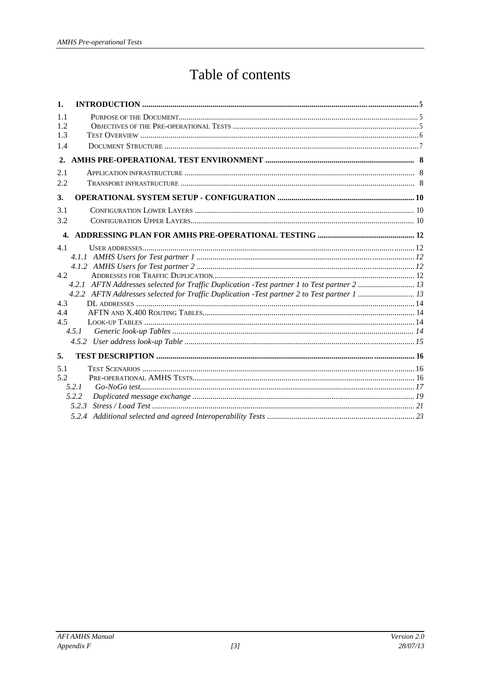## Table of contents

| 1.           |                                                                                             |  |
|--------------|---------------------------------------------------------------------------------------------|--|
| 1.1          |                                                                                             |  |
| 1.2          |                                                                                             |  |
| 1.3          |                                                                                             |  |
| 1.4          |                                                                                             |  |
| 2.           |                                                                                             |  |
| 2.1          |                                                                                             |  |
| 2.2          |                                                                                             |  |
| 3.           |                                                                                             |  |
| 3.1          |                                                                                             |  |
| 3.2          |                                                                                             |  |
| $\mathbf{4}$ |                                                                                             |  |
| 4.1          |                                                                                             |  |
|              |                                                                                             |  |
|              |                                                                                             |  |
| 4.2          |                                                                                             |  |
|              | 4.2.1 AFTN Addresses selected for Traffic Duplication -Test partner 1 to Test partner 2  13 |  |
| 4.3          | 4.2.2 AFTN Addresses selected for Traffic Duplication -Test partner 2 to Test partner 1  13 |  |
| 4.4          |                                                                                             |  |
| 4.5          |                                                                                             |  |
|              | 4.5.1                                                                                       |  |
|              |                                                                                             |  |
| 5.           |                                                                                             |  |
| 5.1          |                                                                                             |  |
| 5.2          |                                                                                             |  |
|              | 5.2.1                                                                                       |  |
|              | 5.2.2                                                                                       |  |
|              | 5.2.3                                                                                       |  |
|              |                                                                                             |  |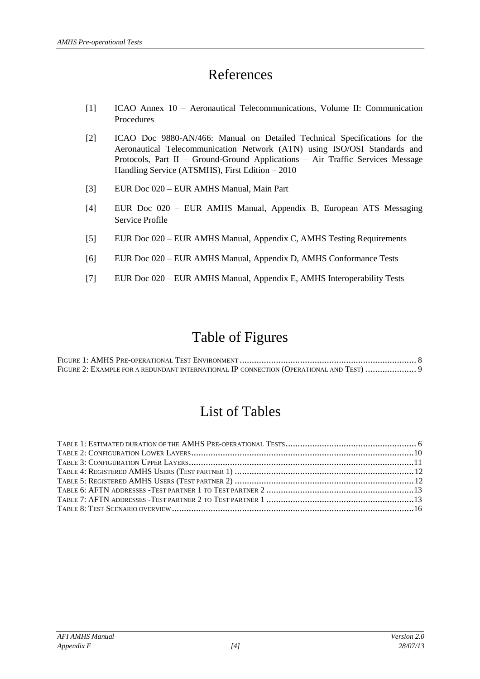## References

- [1] ICAO Annex 10 Aeronautical Telecommunications, Volume II: Communication Procedures
- [2] ICAO Doc 9880-AN/466: Manual on Detailed Technical Specifications for the Aeronautical Telecommunication Network (ATN) using ISO/OSI Standards and Protocols, Part II – Ground-Ground Applications – Air Traffic Services Message Handling Service (ATSMHS), First Edition – 2010
- [3] EUR Doc 020 EUR AMHS Manual, Main Part
- [4] EUR Doc 020 EUR AMHS Manual, Appendix B, European ATS Messaging Service Profile
- [5] EUR Doc 020 EUR AMHS Manual, Appendix C, AMHS Testing Requirements
- [6] EUR Doc 020 EUR AMHS Manual, Appendix D, AMHS Conformance Tests
- [7] EUR Doc 020 EUR AMHS Manual, Appendix E, AMHS Interoperability Tests

## Table of Figures

| FIGURE 2: EXAMPLE FOR A REDUNDANT INTERNATIONAL IP CONNECTION (OPERATIONAL AND TEST)  9 |  |
|-----------------------------------------------------------------------------------------|--|

## List of Tables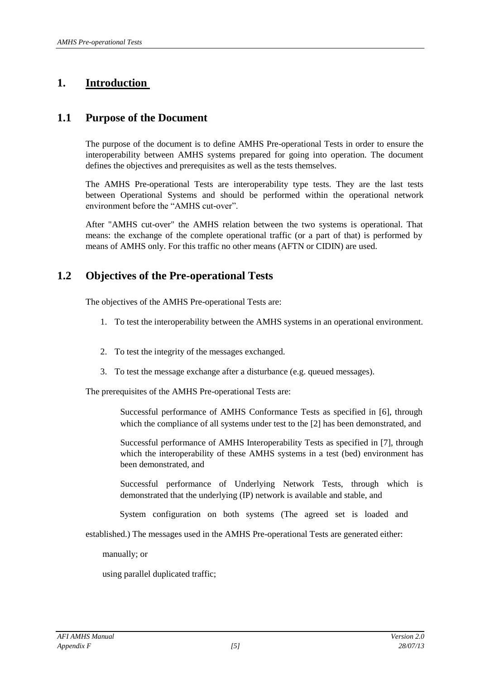## **1. Introduction**

## **1.1 Purpose of the Document**

The purpose of the document is to define AMHS Pre-operational Tests in order to ensure the interoperability between AMHS systems prepared for going into operation. The document defines the objectives and prerequisites as well as the tests themselves.

The AMHS Pre-operational Tests are interoperability type tests. They are the last tests between Operational Systems and should be performed within the operational network environment before the "AMHS cut-over".

After "AMHS cut-over" the AMHS relation between the two systems is operational. That means: the exchange of the complete operational traffic (or a part of that) is performed by means of AMHS only. For this traffic no other means (AFTN or CIDIN) are used.

## **1.2 Objectives of the Pre-operational Tests**

The objectives of the AMHS Pre-operational Tests are:

- 1. To test the interoperability between the AMHS systems in an operational environment.
- 2. To test the integrity of the messages exchanged.
- 3. To test the message exchange after a disturbance (e.g. queued messages).

The prerequisites of the AMHS Pre-operational Tests are:

Successful performance of AMHS Conformance Tests as specified in [6], through which the compliance of all systems under test to the [2] has been demonstrated, and

Successful performance of AMHS Interoperability Tests as specified in [7], through which the interoperability of these AMHS systems in a test (bed) environment has been demonstrated, and

Successful performance of Underlying Network Tests, through which is demonstrated that the underlying (IP) network is available and stable, and

System configuration on both systems (The agreed set is loaded and

established.) The messages used in the AMHS Pre-operational Tests are generated either:

manually; or

using parallel duplicated traffic;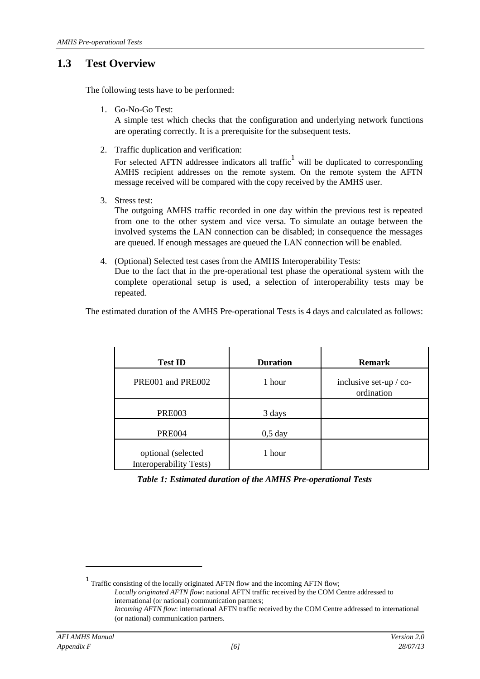## **1.3 Test Overview**

The following tests have to be performed:

1. Go-No-Go Test:

A simple test which checks that the configuration and underlying network functions are operating correctly. It is a prerequisite for the subsequent tests.

2. Traffic duplication and verification:

For selected AFTN addressee indicators all traffic<sup>1</sup> will be duplicated to corresponding AMHS recipient addresses on the remote system. On the remote system the AFTN message received will be compared with the copy received by the AMHS user.

3. Stress test:

The outgoing AMHS traffic recorded in one day within the previous test is repeated from one to the other system and vice versa. To simulate an outage between the involved systems the LAN connection can be disabled; in consequence the messages are queued. If enough messages are queued the LAN connection will be enabled.

4. (Optional) Selected test cases from the AMHS Interoperability Tests: Due to the fact that in the pre-operational test phase the operational system with the complete operational setup is used, a selection of interoperability tests may be repeated.

The estimated duration of the AMHS Pre-operational Tests is 4 days and calculated as follows:

| <b>Test ID</b>                                | <b>Duration</b> | <b>Remark</b>                        |
|-----------------------------------------------|-----------------|--------------------------------------|
| PRE001 and PRE002                             | 1 hour          | inclusive set-up / co-<br>ordination |
| <b>PRE003</b>                                 | 3 days          |                                      |
| <b>PRE004</b>                                 | $0,5$ day       |                                      |
| optional (selected<br>Interoperability Tests) | 1 hour          |                                      |

*Table 1: Estimated duration of the AMHS Pre-operational Tests*

<sup>&</sup>lt;sup>1</sup> Traffic consisting of the locally originated AFTN flow and the incoming AFTN flow; *Locally originated AFTN flow*: national AFTN traffic received by the COM Centre addressed to international (or national) communication partners; *Incoming AFTN flow*: international AFTN traffic received by the COM Centre addressed to international (or national) communication partners.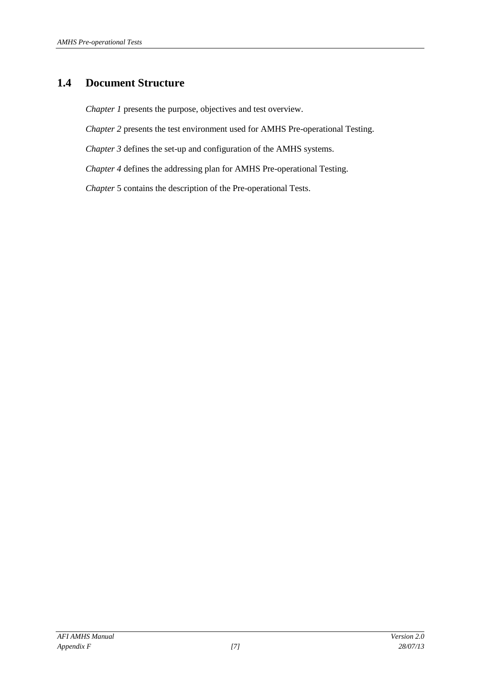## **1.4 Document Structure**

*Chapter 1* presents the purpose, objectives and test overview.

*Chapter 2* presents the test environment used for AMHS Pre-operational Testing.

*Chapter 3* defines the set-up and configuration of the AMHS systems.

*Chapter 4* defines the addressing plan for AMHS Pre-operational Testing.

*Chapter* 5 contains the description of the Pre-operational Tests.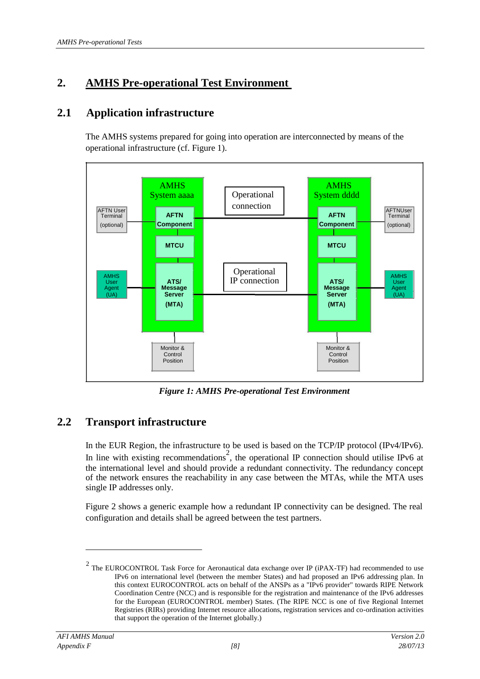## **2. AMHS Pre-operational Test Environment**

## **2.1 Application infrastructure**

The AMHS systems prepared for going into operation are interconnected by means of the operational infrastructure (cf. Figure 1).



*Figure 1: AMHS Pre-operational Test Environment*

## **2.2 Transport infrastructure**

In the EUR Region, the infrastructure to be used is based on the TCP/IP protocol (IPv4/IPv6). In line with existing recommendations<sup>2</sup>, the operational IP connection should utilise IPv6 at the international level and should provide a redundant connectivity. The redundancy concept of the network ensures the reachability in any case between the MTAs, while the MTA uses single IP addresses only.

Figure 2 shows a generic example how a redundant IP connectivity can be designed. The real configuration and details shall be agreed between the test partners.

<sup>&</sup>lt;sup>2</sup> The EUROCONTROL Task Force for Aeronautical data exchange over IP (iPAX-TF) had recommended to use IPv6 on international level (between the member States) and had proposed an IPv6 addressing plan. In this context EUROCONTROL acts on behalf of the ANSPs as a "IPv6 provider" towards RIPE Network Coordination Centre (NCC) and is responsible for the registration and maintenance of the IPv6 addresses for the European (EUROCONTROL member) States. (The RIPE NCC is one of five Regional Internet Registries (RIRs) providing Internet resource allocations, registration services and co-ordination activities that support the operation of the Internet globally.)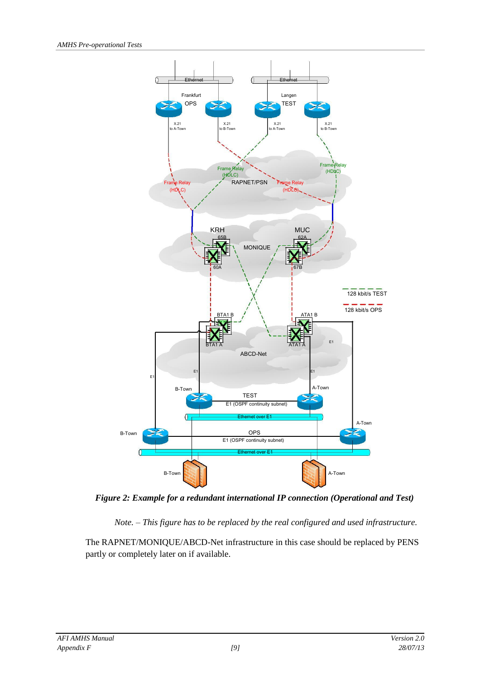

*Figure 2: Example for a redundant international IP connection (Operational and Test)*

*Note. – This figure has to be replaced by the real configured and used infrastructure.*

The RAPNET/MONIQUE/ABCD-Net infrastructure in this case should be replaced by PENS partly or completely later on if available.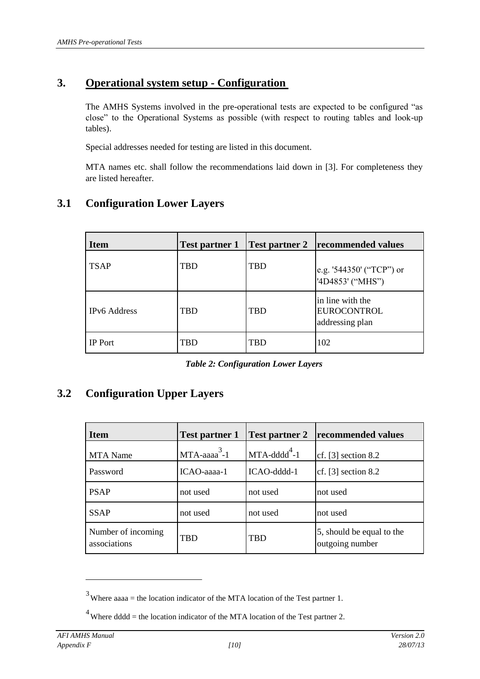## **3. Operational system setup - Configuration**

The AMHS Systems involved in the pre-operational tests are expected to be configured "as close" to the Operational Systems as possible (with respect to routing tables and look-up tables).

Special addresses needed for testing are listed in this document.

MTA names etc. shall follow the recommendations laid down in [3]. For completeness they are listed hereafter.

| <b>Item</b>         | <b>Test partner 1</b> | <b>Test partner 2</b> | recommended values                                        |
|---------------------|-----------------------|-----------------------|-----------------------------------------------------------|
| <b>TSAP</b>         | <b>TBD</b>            | <b>TBD</b>            | e.g. '544350' ("TCP") or<br>'4D4853' ("MHS")              |
| <b>IPv6</b> Address | <b>TBD</b>            | <b>TBD</b>            | in line with the<br><b>EUROCONTROL</b><br>addressing plan |
| <b>IP</b> Port      | TBD                   | TBD                   | 102                                                       |

## **3.1 Configuration Lower Layers**

*Table 2: Configuration Lower Layers*

## **3.2 Configuration Upper Layers**

| <b>Item</b>                        | <b>Test partner 1</b>       | <b>Test partner 2</b>       | recommended values                           |
|------------------------------------|-----------------------------|-----------------------------|----------------------------------------------|
| <b>MTA</b> Name                    | $MTA$ -aaaa <sup>3</sup> -1 | $MTA$ -dddd <sup>4</sup> -1 | cf. $[3]$ section 8.2                        |
| Password                           | ICAO-aaaa-1                 | ICAO-dddd-1                 | cf. $[3]$ section 8.2                        |
| <b>PSAP</b>                        | not used                    | not used                    | not used                                     |
| <b>SSAP</b>                        | not used                    | not used                    | not used                                     |
| Number of incoming<br>associations | <b>TBD</b>                  | <b>TBD</b>                  | 5, should be equal to the<br>outgoing number |

 $3$  Where aaaa = the location indicator of the MTA location of the Test partner 1.

 $4$  Where dddd = the location indicator of the MTA location of the Test partner 2.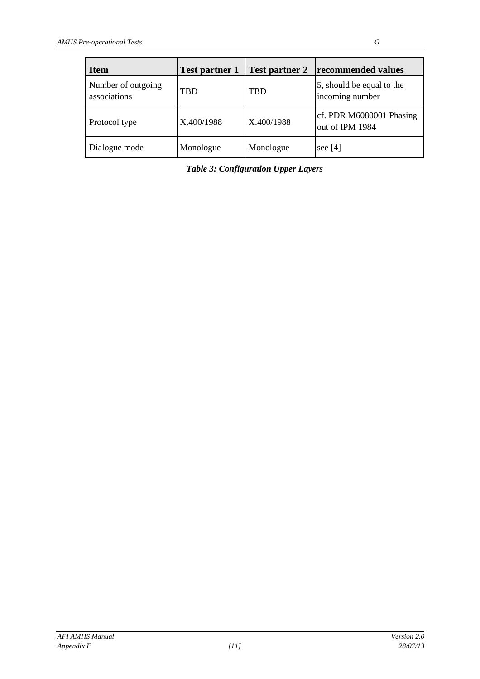| <b>Item</b>                        | <b>Test partner 1</b> | <b>Test partner 2</b> | recommended values                           |
|------------------------------------|-----------------------|-----------------------|----------------------------------------------|
| Number of outgoing<br>associations | <b>TBD</b>            | <b>TBD</b>            | 5, should be equal to the<br>incoming number |
| Protocol type                      | X.400/1988            | X.400/1988            | cf. PDR M6080001 Phasing<br>out of IPM 1984  |
| Dialogue mode                      | Monologue             | Monologue             | see $[4]$                                    |

*Table 3: Configuration Upper Layers*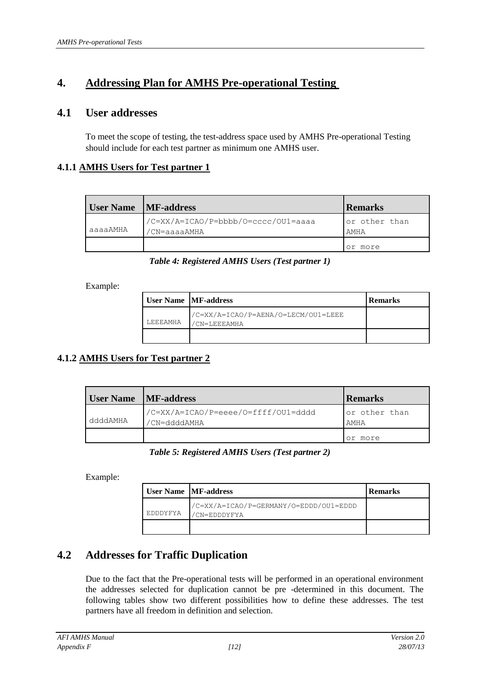## **4. Addressing Plan for AMHS Pre-operational Testing**

### **4.1 User addresses**

To meet the scope of testing, the test-address space used by AMHS Pre-operational Testing should include for each test partner as minimum one AMHS user.

#### **4.1.1 AMHS Users for Test partner 1**

| User Name MF-address |                                                     | <b>Remarks</b>        |
|----------------------|-----------------------------------------------------|-----------------------|
| aaaaAMHA             | /C=XX/A=ICAO/P=bbbb/O=cccc/OU1=aaaa<br>'CN=aaaaAMHA | or other than<br>AMHA |
|                      |                                                     | or more               |

#### *Table 4: Registered AMHS Users (Test partner 1)*

Example:

|          | <b>User Name   MF-address</b>                      | <b>Remarks</b> |
|----------|----------------------------------------------------|----------------|
| LEEEAMHA | /C=XX/A=ICAO/P=AENA/O=LECM/OU1=LEEE<br>CN=LEEEAMHA |                |
|          |                                                    |                |

### **4.1.2 AMHS Users for Test partner 2**

| <b>User Name</b> MF-address |                                                     | <b>Remarks</b>        |
|-----------------------------|-----------------------------------------------------|-----------------------|
| ddddAMHA                    | /C=XX/A=ICAO/P=eeee/O=ffff/OU1=dddd<br>/CN=ddddAMHA | or other than<br>AMHA |
|                             |                                                     | more                  |

#### *Table 5: Registered AMHS Users (Test partner 2)*

Example:

|          | <b>User Name   MF-address</b>                         | <b>Remarks</b> |
|----------|-------------------------------------------------------|----------------|
| EDDDYFYA | /C=XX/A=ICAO/P=GERMANY/O=EDDD/OU1=EDDD<br>CN=EDDDYFYA |                |
|          |                                                       |                |

## **4.2 Addresses for Traffic Duplication**

Due to the fact that the Pre-operational tests will be performed in an operational environment the addresses selected for duplication cannot be pre -determined in this document. The following tables show two different possibilities how to define these addresses. The test partners have all freedom in definition and selection.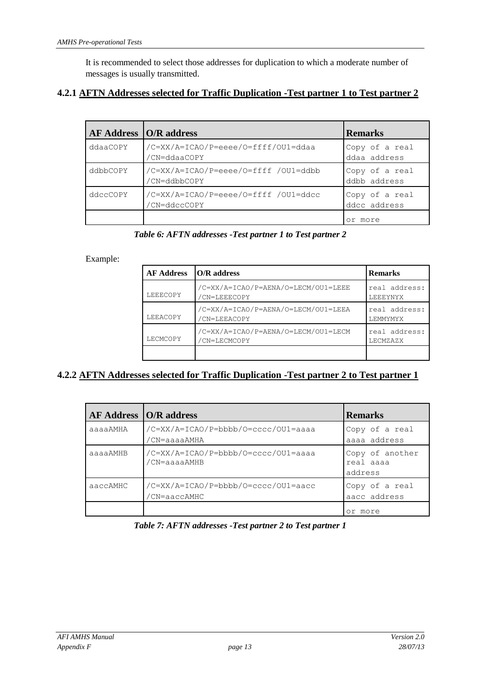It is recommended to select those addresses for duplication to which a moderate number of messages is usually transmitted.

### **4.2.1 AFTN Addresses selected for Traffic Duplication -Test partner 1 to Test partner 2**

| $AF$ Address $ O/R$ address |                                                      | <b>Remarks</b>                 |
|-----------------------------|------------------------------------------------------|--------------------------------|
| ddaaCOPY                    | /C=XX/A=ICAO/P=eeee/O=ffff/OU1=ddaa<br>/CN=ddaaCOPY  | Copy of a real<br>ddaa address |
| ddbbCOPY                    | /C=XX/A=ICAO/P=eeee/O=ffff /OU1=ddbb<br>/CN=ddbbCOPY | Copy of a real<br>ddbb address |
| ddccCOPY                    | /C=XX/A=ICAO/P=eeee/O=ffff /OU1=ddcc<br>'CN=ddccCOPY | Copy of a real<br>ddcc address |
|                             |                                                      | more                           |

*Table 6: AFTN addresses -Test partner 1 to Test partner 2*

#### Example:

| <b>AF Address</b> | O/R address                                         |                            |
|-------------------|-----------------------------------------------------|----------------------------|
| LEEECOPY          | /C=XX/A=ICAO/P=AENA/O=LECM/OU1=LEEE<br>/CN=LEEECOPY | real address:<br>LEEEYNYX  |
| LEEACOPY          | /C=XX/A=ICAO/P=AENA/O=LECM/OU1=LEEA<br>/CN=LEEACOPY | real address:<br>T.EMMYMYX |
| LECMCOPY          | /C=XX/A=ICAO/P=AENA/O=LECM/OU1=LECM<br>/CN=LECMCOPY | real address:<br>LECMZAZX  |
|                   |                                                     |                            |

### **4.2.2 AFTN Addresses selected for Traffic Duplication -Test partner 2 to Test partner 1**

|          | AF Address   O/R address                            | <b>Remarks</b>                          |
|----------|-----------------------------------------------------|-----------------------------------------|
| aaaaAMHA | /C=XX/A=ICAO/P=bbbb/O=cccc/OU1=aaaa<br>/CN=aaaaAMHA | Copy of a real<br>aaaa address          |
| aaaaAMHB | /C=XX/A=ICAO/P=bbbb/O=cccc/OU1=aaaa<br>'CN=aaaaAMHB | Copy of another<br>real aaaa<br>address |
| aaccAMHC | /C=XX/A=ICAO/P=bbbb/O=cccc/OU1=aacc<br>'CN=aaccAMHC | Copy of a real<br>aacc address          |
|          |                                                     | more                                    |

*Table 7: AFTN addresses -Test partner 2 to Test partner 1*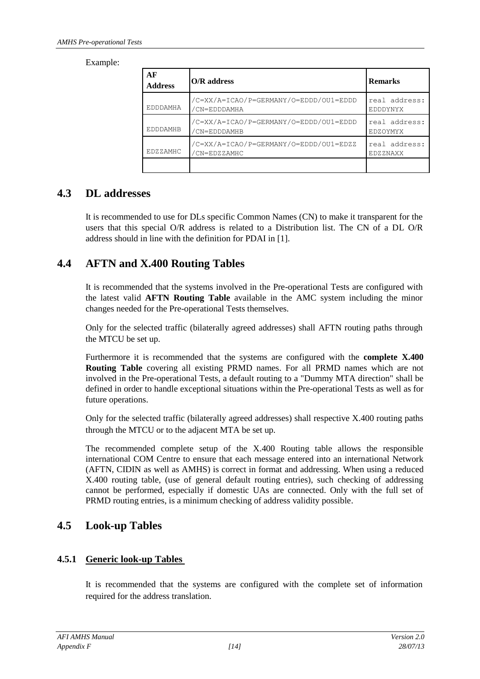Example:

| AF<br><b>Address</b> | <b>O/R</b> address                                     | <b>Remarks</b>                   |
|----------------------|--------------------------------------------------------|----------------------------------|
| EDDDAMHA             | /C=XX/A=ICAO/P=GERMANY/O=EDDD/OU1=EDDD<br>'CN=EDDDAMHA | real address:<br><b>EDDDYNYX</b> |
| <b>EDDDAMHB</b>      | /C=XX/A=ICAO/P=GERMANY/O=EDDD/OU1=EDDD<br>'CN=EDDDAMHB | real address:<br><b>EDZOYMYX</b> |
| <b>EDZZAMHC</b>      | /C=XX/A=ICAO/P=GERMANY/O=EDDD/OU1=EDZZ<br>'CN=EDZZAMHC | real address:<br><b>EDZZNAXX</b> |
|                      |                                                        |                                  |

## **4.3 DL addresses**

It is recommended to use for DLs specific Common Names (CN) to make it transparent for the users that this special O/R address is related to a Distribution list. The CN of a DL O/R address should in line with the definition for PDAI in [1].

## **4.4 AFTN and X.400 Routing Tables**

It is recommended that the systems involved in the Pre-operational Tests are configured with the latest valid **AFTN Routing Table** available in the AMC system including the minor changes needed for the Pre-operational Tests themselves.

Only for the selected traffic (bilaterally agreed addresses) shall AFTN routing paths through the MTCU be set up.

Furthermore it is recommended that the systems are configured with the **complete X.400 Routing Table** covering all existing PRMD names. For all PRMD names which are not involved in the Pre-operational Tests, a default routing to a "Dummy MTA direction" shall be defined in order to handle exceptional situations within the Pre-operational Tests as well as for future operations.

Only for the selected traffic (bilaterally agreed addresses) shall respective X.400 routing paths through the MTCU or to the adjacent MTA be set up.

The recommended complete setup of the X.400 Routing table allows the responsible international COM Centre to ensure that each message entered into an international Network (AFTN, CIDIN as well as AMHS) is correct in format and addressing. When using a reduced X.400 routing table, (use of general default routing entries), such checking of addressing cannot be performed, especially if domestic UAs are connected. Only with the full set of PRMD routing entries, is a minimum checking of address validity possible.

## **4.5 Look-up Tables**

### **4.5.1 Generic look-up Tables**

It is recommended that the systems are configured with the complete set of information required for the address translation.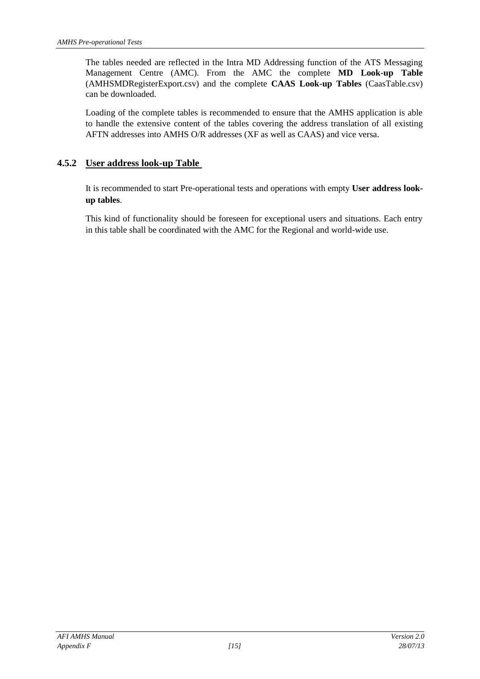The tables needed are reflected in the Intra MD Addressing function of the ATS Messaging Management Centre (AMC). From the AMC the complete **MD Look-up Table** (AMHSMDRegisterExport.csv) and the complete **CAAS Look-up Tables** (CaasTable.csv) can be downloaded.

Loading of the complete tables is recommended to ensure that the AMHS application is able to handle the extensive content of the tables covering the address translation of all existing AFTN addresses into AMHS O/R addresses (XF as well as CAAS) and vice versa.

#### **4.5.2 User address look-up Table**

It is recommended to start Pre-operational tests and operations with empty **User address lookup tables**.

This kind of functionality should be foreseen for exceptional users and situations. Each entry in this table shall be coordinated with the AMC for the Regional and world-wide use.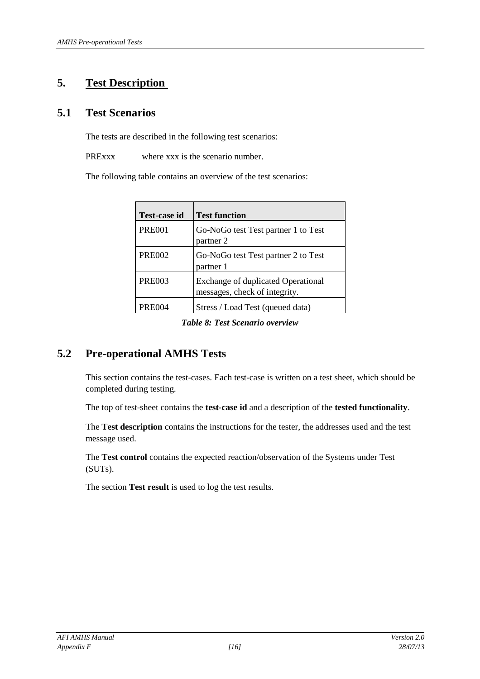## **5. Test Description**

## **5.1 Test Scenarios**

The tests are described in the following test scenarios:

PRExxx where xxx is the scenario number.

The following table contains an overview of the test scenarios:

| Test-case id  | <b>Test function</b>                                                       |
|---------------|----------------------------------------------------------------------------|
| <b>PRE001</b> | Go-NoGo test Test partner 1 to Test<br>partner 2                           |
| <b>PRE002</b> | Go-NoGo test Test partner 2 to Test<br>partner 1                           |
| <b>PRE003</b> | <b>Exchange of duplicated Operational</b><br>messages, check of integrity. |
| <b>PRE004</b> | Stress / Load Test (queued data)                                           |

*Table 8: Test Scenario overview*

## **5.2 Pre-operational AMHS Tests**

This section contains the test-cases. Each test-case is written on a test sheet, which should be completed during testing.

The top of test-sheet contains the **test-case id** and a description of the **tested functionality**.

The **Test description** contains the instructions for the tester, the addresses used and the test message used.

The **Test control** contains the expected reaction/observation of the Systems under Test (SUTs).

The section **Test result** is used to log the test results.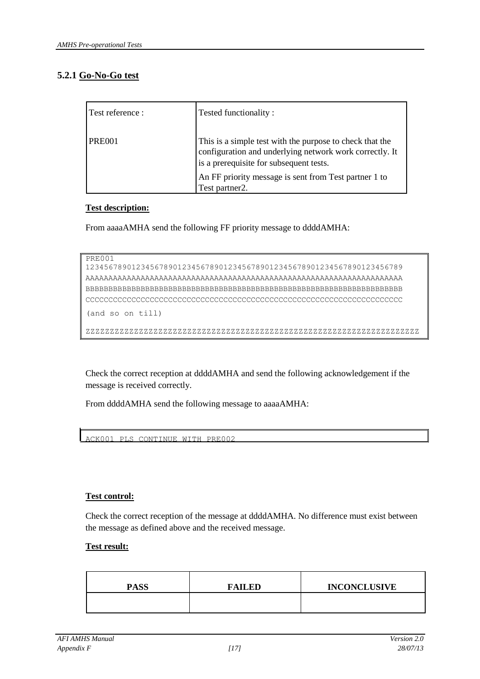### **5.2.1 Go-No-Go test**

| Test reference : | Tested functionality:                                                                                                                                          |
|------------------|----------------------------------------------------------------------------------------------------------------------------------------------------------------|
| <b>PRE001</b>    | This is a simple test with the purpose to check that the<br>configuration and underlying network work correctly. It<br>is a prerequisite for subsequent tests. |
|                  | An FF priority message is sent from Test partner 1 to<br>Test partner2.                                                                                        |

#### **Test description:**

From aaaaAMHA send the following FF priority message to ddddAMHA:

```
PRE001
```
123456789012345678901234567890123456789012345678901234567890123456789 AAAAAAAAAAAAAAAAAAAAAAAAAAAAAAAAAAAAAAAAAAAAAAAAAAAAAAAAAAAAAAAAAAAAA BBBBBBBBBBBBBBBBBBBBBBBBBBBBBBBBBBBBBBBBBBBBBBBBBBBBBBBBBBBBBBBBBBBBB CCCCCCCCCCCCCCCCCCCCCCCCCCCCCCCCCCCCCCCCCCCCCCCCCCCCCCCCCCCCCCCCCCCCC (and so on till)

ZZZZZZZZZZZZZZZZZZZZZZZZZZZZZZZZZZZZZZZZZZZZZZZZZZZZZZZZZZZZZZZZZZZZZ

Check the correct reception at ddddAMHA and send the following acknowledgement if the message is received correctly.

From ddddAMHA send the following message to aaaaAMHA:

ACK001 PLS CONTINUE WITH PRE002

#### **Test control:**

Check the correct reception of the message at ddddAMHA. No difference must exist between the message as defined above and the received message.

#### **Test result:**

| <b>PASS</b> | <b>FAILED</b> | <b>INCONCLUSIVE</b> |
|-------------|---------------|---------------------|
|             |               |                     |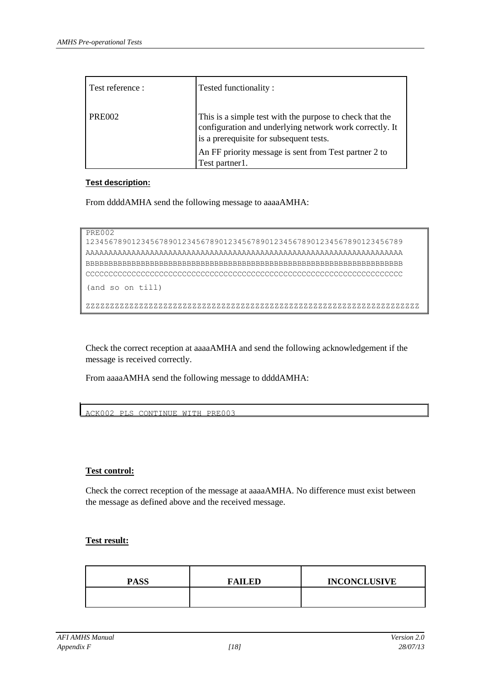| Test reference : | Tested functionality:                                                                                                                                          |
|------------------|----------------------------------------------------------------------------------------------------------------------------------------------------------------|
| <b>PRE002</b>    | This is a simple test with the purpose to check that the<br>configuration and underlying network work correctly. It<br>is a prerequisite for subsequent tests. |
|                  | An FF priority message is sent from Test partner 2 to<br>Test partner1.                                                                                        |

#### **Test description:**

From ddddAMHA send the following message to aaaaAMHA:

```
PRE002
```

```
123456789012345678901234567890123456789012345678901234567890123456789 
AAAAAAAAAAAAAAAAAAAAAAAAAAAAAAAAAAAAAAAAAAAAAAAAAAAAAAAAAAAAAAAAAAAAA 
BBBBBBBBBBBBBBBBBBBBBBBBBBBBBBBBBBBBBBBBBBBBBBBBBBBBBBBBBBBBBBBBBBBBB 
CCCCCCCCCCCCCCCCCCCCCCCCCCCCCCCCCCCCCCCCCCCCCCCCCCCCCCCCCCCCCCCCCCCCC
(and so on till)
```
ZZZZZZZZZZZZZZZZZZZZZZZZZZZZZZZZZZZZZZZZZZZZZZZZZZZZZZZZZZZZZZZZZZZZZ

Check the correct reception at aaaaAMHA and send the following acknowledgement if the message is received correctly.

From aaaaAMHA send the following message to ddddAMHA:

ACK002 PLS CONTINUE WITH PRE003

#### **Test control:**

Check the correct reception of the message at aaaaAMHA. No difference must exist between the message as defined above and the received message.

#### **Test result:**

| <b>PASS</b> | FAILED | <b>INCONCLUSIVE</b> |
|-------------|--------|---------------------|
|             |        |                     |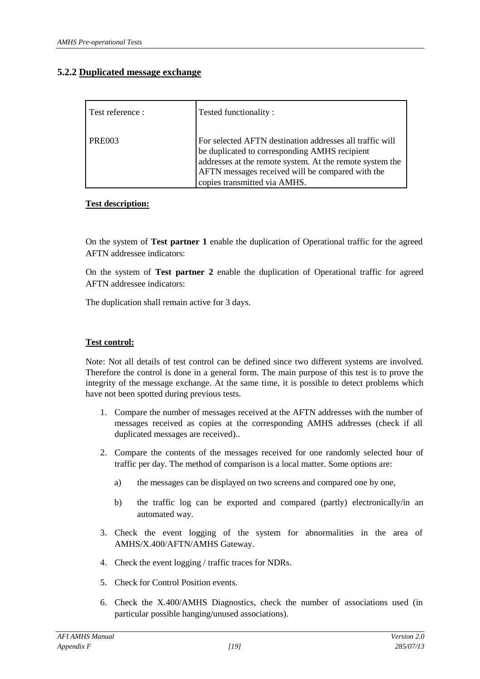#### **5.2.2 Duplicated message exchange**

| Test reference : | Tested functionality:                                                                                                                                                                                                                                     |
|------------------|-----------------------------------------------------------------------------------------------------------------------------------------------------------------------------------------------------------------------------------------------------------|
| <b>PRE003</b>    | For selected AFTN destination addresses all traffic will<br>be duplicated to corresponding AMHS recipient<br>addresses at the remote system. At the remote system the<br>AFTN messages received will be compared with the<br>copies transmitted via AMHS. |

#### **Test description:**

On the system of **Test partner 1** enable the duplication of Operational traffic for the agreed AFTN addressee indicators:

On the system of **Test partner 2** enable the duplication of Operational traffic for agreed AFTN addressee indicators:

The duplication shall remain active for 3 days.

#### **Test control:**

Note: Not all details of test control can be defined since two different systems are involved. Therefore the control is done in a general form. The main purpose of this test is to prove the integrity of the message exchange. At the same time, it is possible to detect problems which have not been spotted during previous tests.

- 1. Compare the number of messages received at the AFTN addresses with the number of messages received as copies at the corresponding AMHS addresses (check if all duplicated messages are received)..
- 2. Compare the contents of the messages received for one randomly selected hour of traffic per day. The method of comparison is a local matter. Some options are:
	- a) the messages can be displayed on two screens and compared one by one,
	- b) the traffic log can be exported and compared (partly) electronically/in an automated way.
- 3. Check the event logging of the system for abnormalities in the area of AMHS/X.400/AFTN/AMHS Gateway.
- 4. Check the event logging / traffic traces for NDRs.
- 5. Check for Control Position events.
- 6. Check the X.400/AMHS Diagnostics, check the number of associations used (in particular possible hanging/unused associations).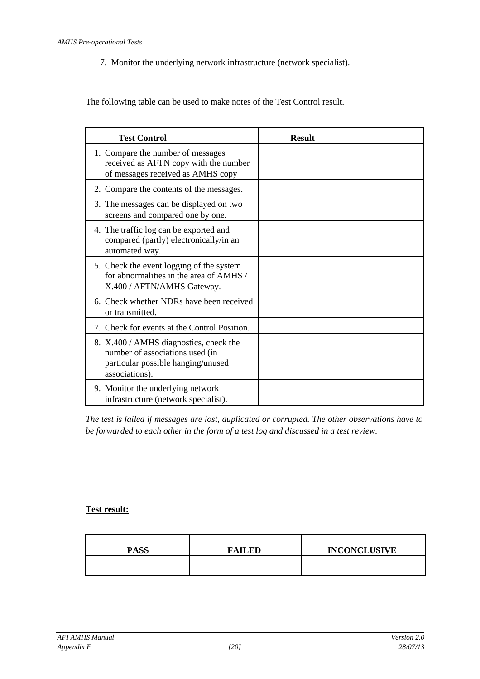7. Monitor the underlying network infrastructure (network specialist).

The following table can be used to make notes of the Test Control result.

| <b>Test Control</b>                                                                                                               | <b>Result</b> |
|-----------------------------------------------------------------------------------------------------------------------------------|---------------|
| 1. Compare the number of messages<br>received as AFTN copy with the number<br>of messages received as AMHS copy                   |               |
| 2. Compare the contents of the messages.                                                                                          |               |
| 3. The messages can be displayed on two<br>screens and compared one by one.                                                       |               |
| 4. The traffic log can be exported and<br>compared (partly) electronically/in an<br>automated way.                                |               |
| 5. Check the event logging of the system<br>for abnormalities in the area of AMHS /<br>X.400 / AFTN/AMHS Gateway.                 |               |
| 6. Check whether NDRs have been received<br>or transmitted.                                                                       |               |
| 7. Check for events at the Control Position.                                                                                      |               |
| 8. X.400 / AMHS diagnostics, check the<br>number of associations used (in<br>particular possible hanging/unused<br>associations). |               |
| 9. Monitor the underlying network<br>infrastructure (network specialist).                                                         |               |

*The test is failed if messages are lost, duplicated or corrupted. The other observations have to be forwarded to each other in the form of a test log and discussed in a test review.*

#### **Test result:**

| <b>PASS</b> | <b>FAILED</b> | <b>INCONCLUSIVE</b> |
|-------------|---------------|---------------------|
|             |               |                     |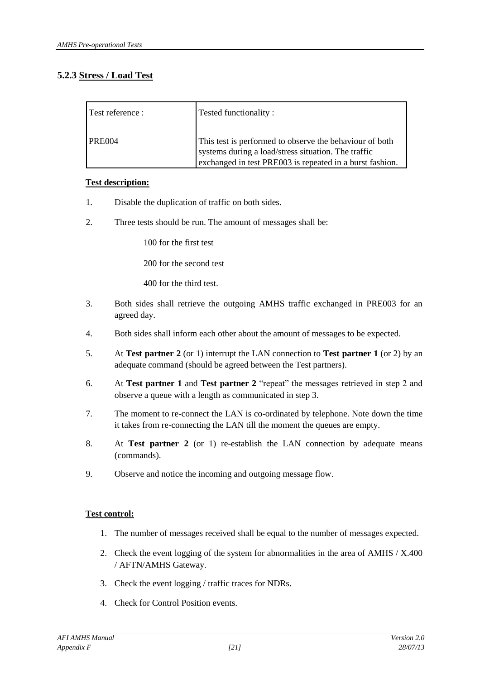### **5.2.3 Stress / Load Test**

| Test reference : | Tested functionality:                                                                                                                                                      |
|------------------|----------------------------------------------------------------------------------------------------------------------------------------------------------------------------|
| <b>PRE004</b>    | This test is performed to observe the behaviour of both<br>systems during a load/stress situation. The traffic<br>exchanged in test PRE003 is repeated in a burst fashion. |

#### **Test description:**

- 1. Disable the duplication of traffic on both sides.
- 2. Three tests should be run. The amount of messages shall be:

100 for the first test

200 for the second test

400 for the third test.

- 3. Both sides shall retrieve the outgoing AMHS traffic exchanged in PRE003 for an agreed day.
- 4. Both sides shall inform each other about the amount of messages to be expected.
- 5. At **Test partner 2** (or 1) interrupt the LAN connection to **Test partner 1** (or 2) by an adequate command (should be agreed between the Test partners).
- 6. At **Test partner 1** and **Test partner 2** "repeat" the messages retrieved in step 2 and observe a queue with a length as communicated in step 3.
- 7. The moment to re-connect the LAN is co-ordinated by telephone. Note down the time it takes from re-connecting the LAN till the moment the queues are empty.
- 8. At **Test partner 2** (or 1) re-establish the LAN connection by adequate means (commands).
- 9. Observe and notice the incoming and outgoing message flow.

#### **Test control:**

- 1. The number of messages received shall be equal to the number of messages expected.
- 2. Check the event logging of the system for abnormalities in the area of AMHS / X.400 / AFTN/AMHS Gateway.
- 3. Check the event logging / traffic traces for NDRs.
- 4. Check for Control Position events.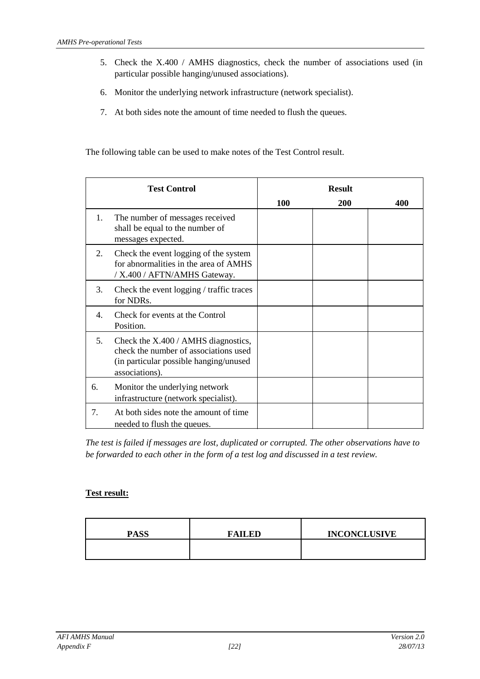- 5. Check the X.400 / AMHS diagnostics, check the number of associations used (in particular possible hanging/unused associations).
- 6. Monitor the underlying network infrastructure (network specialist).
- 7. At both sides note the amount of time needed to flush the queues.

The following table can be used to make notes of the Test Control result.

| <b>Test Control</b> |                                                                                                                                           | <b>Result</b> |     |     |
|---------------------|-------------------------------------------------------------------------------------------------------------------------------------------|---------------|-----|-----|
|                     |                                                                                                                                           | 100           | 200 | 400 |
| 1.                  | The number of messages received<br>shall be equal to the number of<br>messages expected.                                                  |               |     |     |
| 2.                  | Check the event logging of the system<br>for abnormalities in the area of AMHS<br>/ X.400 / AFTN/AMHS Gateway.                            |               |     |     |
| 3.                  | Check the event logging / traffic traces<br>for NDRs.                                                                                     |               |     |     |
| 4.                  | Check for events at the Control<br>Position.                                                                                              |               |     |     |
| 5.                  | Check the X.400 / AMHS diagnostics,<br>check the number of associations used<br>(in particular possible hanging/unused)<br>associations). |               |     |     |
| 6.                  | Monitor the underlying network<br>infrastructure (network specialist).                                                                    |               |     |     |
| 7.                  | At both sides note the amount of time<br>needed to flush the queues.                                                                      |               |     |     |

*The test is failed if messages are lost, duplicated or corrupted. The other observations have to be forwarded to each other in the form of a test log and discussed in a test review.*

#### **Test result:**

| <b>PASS</b> | <b>FAILED</b> | <b>INCONCLUSIVE</b> |
|-------------|---------------|---------------------|
|             |               |                     |